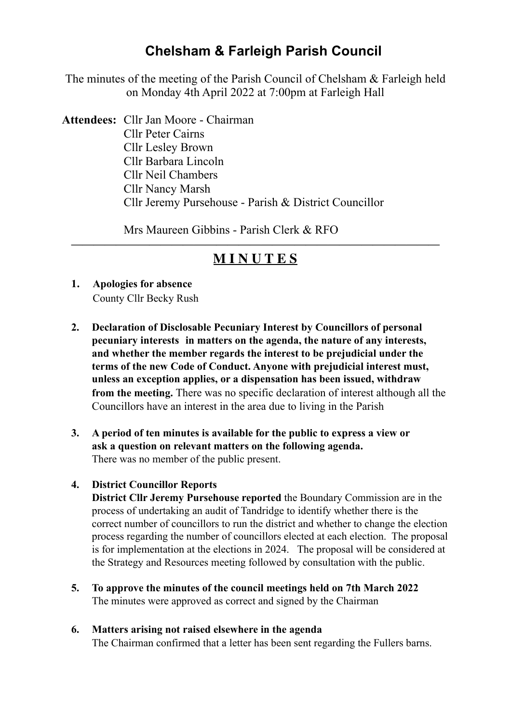# **Chelsham & Farleigh Parish Council**

The minutes of the meeting of the Parish Council of Chelsham & Farleigh held on Monday 4th April 2022 at 7:00pm at Farleigh Hall

**Attendees:** Cllr Jan Moore - Chairman Cllr Peter Cairns Cllr Lesley Brown Cllr Barbara Lincoln Cllr Neil Chambers Cllr Nancy Marsh Cllr Jeremy Pursehouse - Parish & District Councillor

Mrs Maureen Gibbins - Parish Clerk & RFO

# **————————————————————————————————— M I N U T E S**

- **1. Apologies for absence** County Cllr Becky Rush
- **2. Declaration of Disclosable Pecuniary Interest by Councillors of personal pecuniary interests in matters on the agenda, the nature of any interests, and whether the member regards the interest to be prejudicial under the terms of the new Code of Conduct. Anyone with prejudicial interest must, unless an exception applies, or a dispensation has been issued, withdraw from the meeting.** There was no specific declaration of interest although all the Councillors have an interest in the area due to living in the Parish
- **3. A period of ten minutes is available for the public to express a view or ask a question on relevant matters on the following agenda.**  There was no member of the public present.

# **4. District Councillor Reports**

 **District Cllr Jeremy Pursehouse reported** the Boundary Commission are in the process of undertaking an audit of Tandridge to identify whether there is the correct number of councillors to run the district and whether to change the election process regarding the number of councillors elected at each election. The proposal is for implementation at the elections in 2024. The proposal will be considered at the Strategy and Resources meeting followed by consultation with the public.

**5. To approve the minutes of the council meetings held on 7th March 2022**  The minutes were approved as correct and signed by the Chairman

# **6. Matters arising not raised elsewhere in the agenda**

The Chairman confirmed that a letter has been sent regarding the Fullers barns.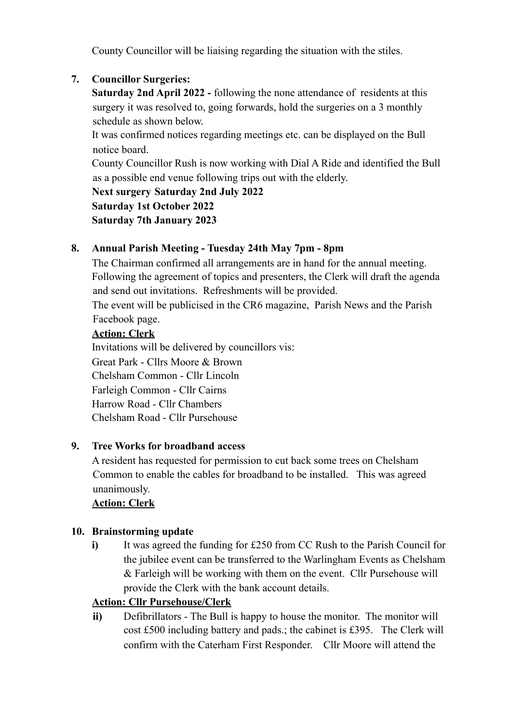County Councillor will be liaising regarding the situation with the stiles.

# **7. Councillor Surgeries:**

 **Saturday 2nd April 2022 -** following the none attendance of residents at this surgery it was resolved to, going forwards, hold the surgeries on a 3 monthly schedule as shown below.

 It was confirmed notices regarding meetings etc. can be displayed on the Bull notice board.

 County Councillor Rush is now working with Dial A Ride and identified the Bull as a possible end venue following trips out with the elderly.

 **Next surgery Saturday 2nd July 2022 Saturday 1st October 2022** 

 **Saturday 7th January 2023** 

# **8. Annual Parish Meeting - Tuesday 24th May 7pm - 8pm**

The Chairman confirmed all arrangements are in hand for the annual meeting. Following the agreement of topics and presenters, the Clerk will draft the agenda and send out invitations. Refreshments will be provided.

The event will be publicised in the CR6 magazine, Parish News and the Parish Facebook page.

#### **Action: Clerk**

 Invitations will be delivered by councillors vis: Great Park - Cllrs Moore & Brown Chelsham Common - Cllr Lincoln Farleigh Common - Cllr Cairns Harrow Road - Cllr Chambers Chelsham Road - Cllr Pursehouse

# **9. Tree Works for broadband access**

A resident has requested for permission to cut back some trees on Chelsham Common to enable the cables for broadband to be installed. This was agreed unanimously.

# **Action: Clerk**

# **10. Brainstorming update**

 **i)** It was agreed the funding for £250 from CC Rush to the Parish Council for the jubilee event can be transferred to the Warlingham Events as Chelsham & Farleigh will be working with them on the event. Cllr Pursehouse will provide the Clerk with the bank account details.

# **Action: Cllr Pursehouse/Clerk**

**ii)** Defibrillators - The Bull is happy to house the monitor. The monitor will cost £500 including battery and pads.; the cabinet is £395. The Clerk will confirm with the Caterham First Responder. Cllr Moore will attend the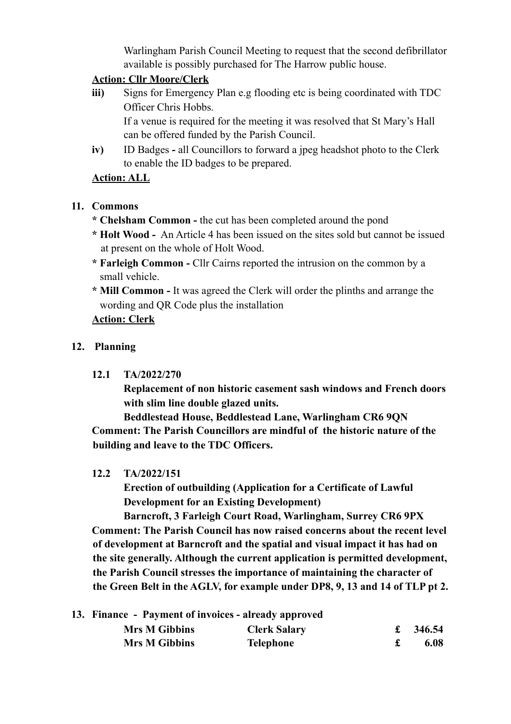Warlingham Parish Council Meeting to request that the second defibrillator available is possibly purchased for The Harrow public house.

#### **Action: Cllr Moore/Clerk**

**iii)** Signs for Emergency Plan e.g flooding etc is being coordinated with TDC Officer Chris Hobbs. If a venue is required for the meeting it was resolved that St Mary's Hall

can be offered funded by the Parish Council.

 **iv)** ID Badges **-** all Councillors to forward a jpeg headshot photo to the Clerk to enable the ID badges to be prepared.

#### **Action: ALL**

#### **11. Commons**

- **\* Chelsham Common** the cut has been completed around the pond
- **\* Holt Wood** An Article 4 has been issued on the sites sold but cannot be issued at present on the whole of Holt Wood.
- **\* Farleigh Common** Cllr Cairns reported the intrusion on the common by a small vehicle.
- **\* Mill Common** It was agreed the Clerk will order the plinths and arrange the wording and QR Code plus the installation

# **Action: Clerk**

#### **12. Planning**

#### **12.1 TA/2022/270**

 **Replacement of non historic casement sash windows and French doors with slim line double glazed units.** 

 **Beddlestead House, Beddlestead Lane, Warlingham CR6 9QN Comment: The Parish Councillors are mindful of the historic nature of the building and leave to the TDC Officers.** 

#### **12.2 TA/2022/151**

 **Erection of outbuilding (Application for a Certificate of Lawful Development for an Existing Development)** 

 **Barncroft, 3 Farleigh Court Road, Warlingham, Surrey CR6 9PX Comment: The Parish Council has now raised concerns about the recent level of development at Barncroft and the spatial and visual impact it has had on the site generally. Although the current application is permitted development, the Parish Council stresses the importance of maintaining the character of the Green Belt in the AGLV, for example under DP8, 9, 13 and 14 of TLP pt 2.** 

|  | 13. Finance - Payment of invoices - already approved |                     |  |          |
|--|------------------------------------------------------|---------------------|--|----------|
|  | <b>Mrs M Gibbins</b>                                 | <b>Clerk Salary</b> |  | £ 346.54 |
|  | <b>Mrs M Gibbins</b>                                 | Telephone           |  | 6.08     |